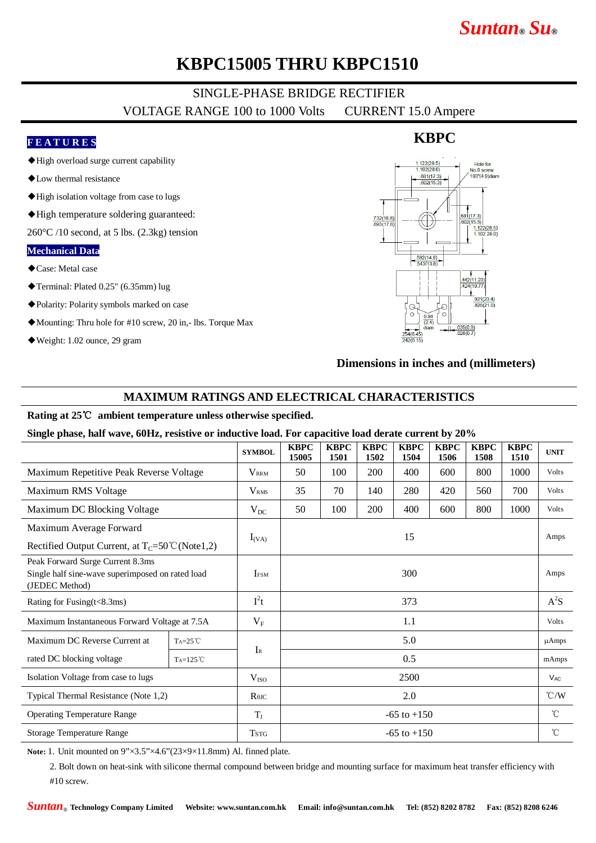# *Suntan***®** *Su***®**

### **KBPC15005 THRU KBPC1510**

### SINGLE-PHASE BRIDGE RECTIFIER

VOLTAGE RANGE 100 to 1000 Volts CURRENT 15.0 Ampere

#### **F E A T U R E S**

- ◆High overload surge current capability
- ◆Low thermal resistance
- ◆High isolation voltage from case to lugs
- ◆High temperature soldering guaranteed:

 $260^{\circ}$ C /10 second, at 5 lbs. (2.3kg) tension

#### **Mechanical Data**

- ◆Case: Metal case
- ◆Terminal: Plated 0.25" (6.35mm) lug
- ◆Polarity: Polarity symbols marked on case
- ◆Mounting: Thru hole for #10 screw, 20 in,- lbs. Torque Max
- ◆Weight: 1.02 ounce, 29 gram

# $.122(28.5$ <br> $.102(28.0)$ Hole for No.8 screw  $\frac{681(17.3)}{602(15.3)}$ 193"(4.9) diam  $\frac{1}{681(17.3)}$ <br>602(15.3) 732(18.6) 1.122(28.5)  $\frac{.582(14.8)}{543(13.8)}$

**KBPC**

#### **Dimensions in inches and (millimeters)**

#### **MAXIMUM RATINGS AND ELECTRICAL CHARACTERISTICS**

#### **Rating at 25**℃ **ambient temperature unless otherwise specified.**

**Single phase, half wave, 60Hz, resistive or inductive load. For capacitive load derate current by 20%**

|                                                                                                        |                   | <b>SYMBOL</b>           | <b>KBPC</b><br>15005 | <b>KBPC</b><br>1501 | <b>KBPC</b><br>1502 | <b>KBPC</b><br>1504 | <b>KBPC</b><br>1506 | <b>KBPC</b><br>1508 | <b>KBPC</b><br>1510 | <b>UNIT</b>           |
|--------------------------------------------------------------------------------------------------------|-------------------|-------------------------|----------------------|---------------------|---------------------|---------------------|---------------------|---------------------|---------------------|-----------------------|
| Maximum Repetitive Peak Reverse Voltage                                                                |                   | <b>VRRM</b>             | 50                   | 100                 | 200                 | 400                 | 600                 | 800                 | 1000                | Volts                 |
| Maximum RMS Voltage                                                                                    |                   | <b>V</b> <sub>RMS</sub> | 35                   | 70                  | 140                 | 280                 | 420                 | 560                 | 700                 | <b>Volts</b>          |
| Maximum DC Blocking Voltage                                                                            |                   | $V_{DC}$                | 50                   | 100                 | 200                 | 400                 | 600                 | 800                 | 1000                | <b>Volts</b>          |
| Maximum Average Forward                                                                                |                   | $I_{(VA)}$              | 15                   |                     |                     |                     |                     |                     |                     | Amps                  |
| Rectified Output Current, at $T_c = 50^{\circ}C(Note1,2)$                                              |                   |                         |                      |                     |                     |                     |                     |                     |                     |                       |
| Peak Forward Surge Current 8.3ms<br>Single half sine-wave superimposed on rated load<br>(JEDEC Method) |                   | <b>IFSM</b>             | 300                  |                     |                     |                     |                     |                     |                     | Amps                  |
| Rating for Fusing(t<8.3ms)                                                                             |                   | $I^2t$                  | 373                  |                     |                     |                     |                     |                     |                     | $A^2S$                |
| Maximum Instantaneous Forward Voltage at 7.5A                                                          |                   | $V_{\rm F}$             | 1.1                  |                     |                     |                     |                     |                     |                     | Volts                 |
| Maximum DC Reverse Current at                                                                          | $Ta=25^{\circ}C$  | $I_{R}$                 | 5.0                  |                     |                     |                     |                     |                     |                     | $\mu$ Amps            |
| rated DC blocking voltage                                                                              | $Ta=125^{\circ}C$ |                         | 0.5                  |                     |                     |                     |                     |                     |                     | mAmps                 |
| Isolation Voltage from case to lugs                                                                    |                   | $V_{ISO}$               | 2500                 |                     |                     |                     |                     |                     |                     | <b>V<sub>AC</sub></b> |
| Typical Thermal Resistance (Note 1,2)                                                                  |                   | $R$ $\theta$ JC         | 2.0                  |                     |                     |                     |                     |                     |                     | $\degree$ C/W         |
| <b>Operating Temperature Range</b>                                                                     |                   | $T_{J}$                 | $-65$ to $+150$      |                     |                     |                     |                     |                     |                     | $^{\circ}$ C          |
| Storage Temperature Range                                                                              |                   | <b>TSTG</b>             | $-65$ to $+150$      |                     |                     |                     |                     |                     |                     | $^{\circ}$ C          |

**Note:** 1. Unit mounted on 9"×3.5"×4.6"(23×9×11.8mm) Al. finned plate.

2. Bolt down on heat-sink with silicone thermal compound between bridge and mounting surface for maximum heat transfer efficiency with #10 screw.